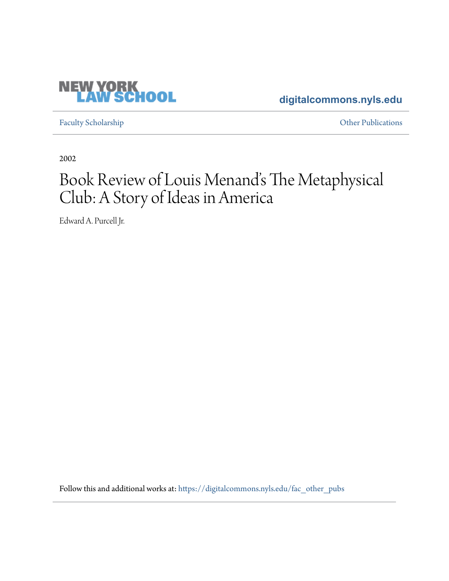### **[digitalcommons.nyls.edu](https://digitalcommons.nyls.edu?utm_source=digitalcommons.nyls.edu%2Ffac_other_pubs%2F438&utm_medium=PDF&utm_campaign=PDFCoverPages)**

[Faculty Scholarship](https://digitalcommons.nyls.edu/fac_scholarship?utm_source=digitalcommons.nyls.edu%2Ffac_other_pubs%2F438&utm_medium=PDF&utm_campaign=PDFCoverPages) **Calculations** [Other Publications](https://digitalcommons.nyls.edu/fac_other_pubs?utm_source=digitalcommons.nyls.edu%2Ffac_other_pubs%2F438&utm_medium=PDF&utm_campaign=PDFCoverPages) **Other Publications** 

2002

# Book Review of Louis Menand's The Metaphysical Club: A Story of Ideas in America

Edward A. Purcell Jr.

Follow this and additional works at: [https://digitalcommons.nyls.edu/fac\\_other\\_pubs](https://digitalcommons.nyls.edu/fac_other_pubs?utm_source=digitalcommons.nyls.edu%2Ffac_other_pubs%2F438&utm_medium=PDF&utm_campaign=PDFCoverPages)

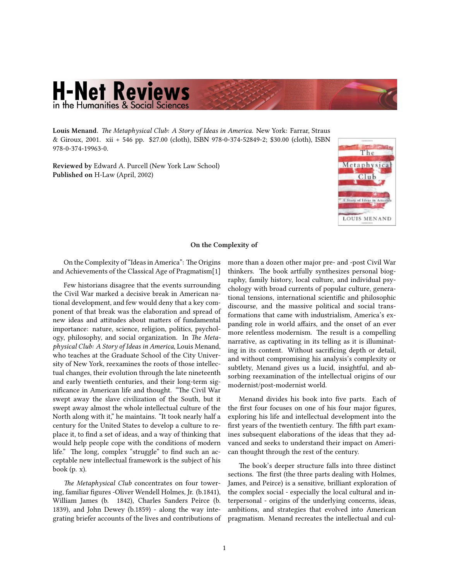## **H-Net Reviews** in the Humanities & Social Sciences

**Louis Menand.** *[The Metaphysical Club: A Story of Ideas in America.](http://www.amazon.com/exec/obidos/ASIN/0374199639)* New York: Farrar, Straus & Giroux, 2001. xii + 546 pp. \$27.00 (cloth), ISBN 978-0-374-52849-2; \$30.00 (cloth), ISBN 978-0-374-19963-0.

**Reviewed by** Edward A. Purcell (New York Law School) **Published on** H-Law (April, 2002)



#### **On the Complexity of**

On the Complexity of "Ideas in America": The Origins and Achievements of the Classical Age of Pragmatism[1]

Few historians disagree that the events surrounding the Civil War marked a decisive break in American national development, and few would deny that a key component of that break was the elaboration and spread of new ideas and attitudes about matters of fundamental importance: nature, science, religion, politics, psychology, philosophy, and social organization. In *The Metaphysical Club: A Story of Ideas in America*, Louis Menand, who teaches at the Graduate School of the City University of New York, reexamines the roots of those intellectual changes, their evolution through the late nineteenth and early twentieth centuries, and their long-term significance in American life and thought. "The Civil War swept away the slave civilization of the South, but it swept away almost the whole intellectual culture of the North along with it," he maintains. "It took nearly half a century for the United States to develop a culture to replace it, to find a set of ideas, and a way of thinking that would help people cope with the conditions of modern life." The long, complex "struggle" to find such an acceptable new intellectual framework is the subject of his book  $(p, x)$ .

*The Metaphysical Club* concentrates on four towering, familiar figures -Oliver Wendell Holmes, Jr. (b.1841), William James (b. 1842), Charles Sanders Peirce (b. 1839), and John Dewey (b.1859) - along the way integrating briefer accounts of the lives and contributions of more than a dozen other major pre- and -post Civil War thinkers. The book artfully synthesizes personal biography, family history, local culture, and individual psychology with broad currents of popular culture, generational tensions, international scientific and philosophic discourse, and the massive political and social transformations that came with industrialism, America's expanding role in world affairs, and the onset of an ever more relentless modernism. The result is a compelling narrative, as captivating in its telling as it is illuminating in its content. Without sacrificing depth or detail, and without compromising his analysis's complexity or subtlety, Menand gives us a lucid, insightful, and absorbing reexamination of the intellectual origins of our modernist/post-modernist world.

Menand divides his book into five parts. Each of the first four focuses on one of his four major figures, exploring his life and intellectual development into the first years of the twentieth century. The fifth part examines subsequent elaborations of the ideas that they advanced and seeks to understand their impact on American thought through the rest of the century.

The book's deeper structure falls into three distinct sections. The first (the three parts dealing with Holmes, James, and Peirce) is a sensitive, brilliant exploration of the complex social - especially the local cultural and interpersonal - origins of the underlying concerns, ideas, ambitions, and strategies that evolved into American pragmatism. Menand recreates the intellectual and cul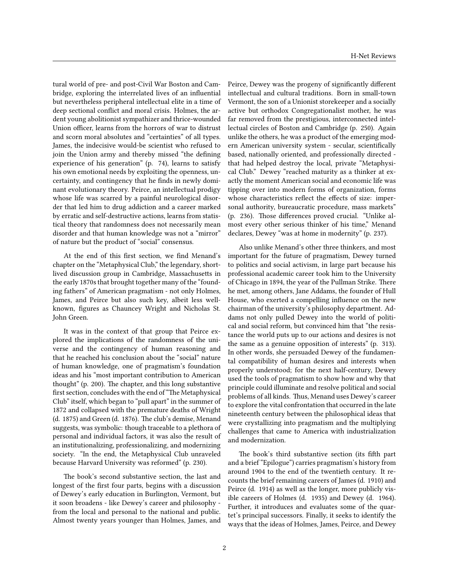tural world of pre- and post-Civil War Boston and Cambridge, exploring the interrelated lives of an influential but nevertheless peripheral intellectual elite in a time of deep sectional conflict and moral crisis. Holmes, the ardent young abolitionist sympathizer and thrice-wounded Union officer, learns from the horrors of war to distrust and scorn moral absolutes and "certainties" of all types. James, the indecisive would-be scientist who refused to join the Union army and thereby missed "the defining experience of his generation" (p. 74), learns to satisfy his own emotional needs by exploiting the openness, uncertainty, and contingency that he finds in newly dominant evolutionary theory. Peirce, an intellectual prodigy whose life was scarred by a painful neurological disorder that led him to drug addiction and a career marked by erratic and self-destructive actions, learns from statistical theory that randomness does not necessarily mean disorder and that human knowledge was not a "mirror" of nature but the product of "social" consensus.

At the end of this first section, we find Menand's chapter on the "Metaphysical Club," the legendary, shortlived discussion group in Cambridge, Massachusetts in the early 1870s that brought together many of the "founding fathers" of American pragmatism - not only Holmes, James, and Peirce but also such key, albeit less wellknown, figures as Chauncey Wright and Nicholas St. John Green.

It was in the context of that group that Peirce explored the implications of the randomness of the universe and the contingency of human reasoning and that he reached his conclusion about the "social" nature of human knowledge, one of pragmatism's foundation ideas and his "most important contribution to American thought" (p. 200). The chapter, and this long substantive first section, concludes with the end of "The Metaphysical Club" itself, which began to "pull apart" in the summer of 1872 and collapsed with the premature deaths of Wright (d. 1875) and Green (d. 1876). The club's demise, Menand suggests, was symbolic: though traceable to a plethora of personal and individual factors, it was also the result of an institutionalizing, professionalizing, and modernizing society. "In the end, the Metaphysical Club unraveled because Harvard University was reformed" (p. 230).

The book's second substantive section, the last and longest of the first four parts, begins with a discussion of Dewey's early education in Burlington, Vermont, but it soon broadens - like Dewey's career and philosophy from the local and personal to the national and public. Almost twenty years younger than Holmes, James, and

Peirce, Dewey was the progeny of significantly different intellectual and cultural traditions. Born in small-town Vermont, the son of a Unionist storekeeper and a socially active but orthodox Congregationalist mother, he was far removed from the prestigious, interconnected intellectual circles of Boston and Cambridge (p. 250). Again unlike the others, he was a product of the emerging modern American university system - secular, scientifically based, nationally oriented, and professionally directed that had helped destroy the local, private "Metaphysical Club." Dewey "reached maturity as a thinker at exactly the moment American social and economic life was tipping over into modern forms of organization, forms whose characteristics reflect the effects of size: impersonal authority, bureaucratic procedure, mass markets" (p. 236). Those differences proved crucial. "Unlike almost every other serious thinker of his time," Menand declares, Dewey "was at home in modernity" (p. 237).

Also unlike Menand's other three thinkers, and most important for the future of pragmatism, Dewey turned to politics and social activism, in large part because his professional academic career took him to the University of Chicago in 1894, the year of the Pullman Strike. There he met, among others, Jane Addams, the founder of Hull House, who exerted a compelling influence on the new chairman of the university's philosophy department. Addams not only pulled Dewey into the world of political and social reform, but convinced him that "the resistance the world puts up to our actions and desires is not the same as a genuine opposition of interests" (p. 313). In other words, she persuaded Dewey of the fundamental compatibility of human desires and interests when properly understood; for the next half-century, Dewey used the tools of pragmatism to show how and why that principle could illuminate and resolve political and social problems of all kinds. Thus, Menand uses Dewey's career to explore the vital confrontation that occurred in the late nineteenth century between the philosophical ideas that were crystallizing into pragmatism and the multiplying challenges that came to America with industrialization and modernization.

The book's third substantive section (its fifth part and a brief "Epilogue") carries pragmatism's history from around 1904 to the end of the twentieth century. It recounts the brief remaining careers of James (d. 1910) and Peirce (d. 1914) as well as the longer, more publicly visible careers of Holmes (d. 1935) and Dewey (d. 1964). Further, it introduces and evaluates some of the quartet's principal successors. Finally, it seeks to identify the ways that the ideas of Holmes, James, Peirce, and Dewey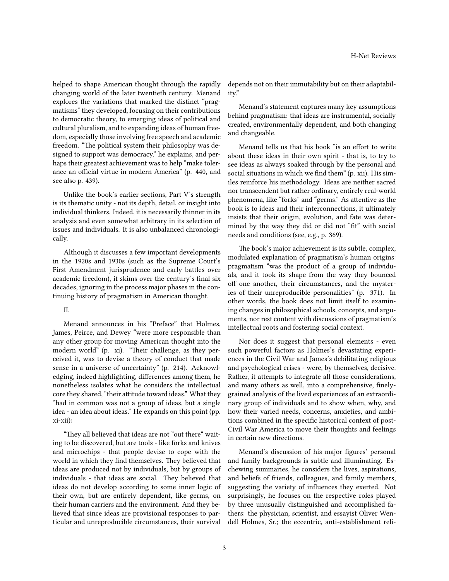helped to shape American thought through the rapidly changing world of the later twentieth century. Menand explores the variations that marked the distinct "pragmatisms" they developed, focusing on their contributions to democratic theory, to emerging ideas of political and cultural pluralism, and to expanding ideas of human freedom, especially those involving free speech and academic freedom. "The political system their philosophy was designed to support was democracy," he explains, and perhaps their greatest achievement was to help "make tolerance an official virtue in modern America" (p. 440, and see also p. 439).

Unlike the book's earlier sections, Part V's strength is its thematic unity - not its depth, detail, or insight into individual thinkers. Indeed, it is necessarily thinner in its analysis and even somewhat arbitrary in its selection of issues and individuals. It is also unbalanced chronologically.

Although it discusses a few important developments in the 1920s and 1930s (such as the Supreme Court's First Amendment jurisprudence and early battles over academic freedom), it skims over the century's final six decades, ignoring in the process major phases in the continuing history of pragmatism in American thought.

#### II.

Menand announces in his "Preface" that Holmes, James, Peirce, and Dewey "were more responsible than any other group for moving American thought into the modern world" (p. xi). "Their challenge, as they perceived it, was to devise a theory of conduct that made sense in a universe of uncertainty" (p. 214). Acknowledging, indeed highlighting, differences among them, he nonetheless isolates what he considers the intellectual core they shared, "their attitude toward ideas." What they "had in common was not a group of ideas, but a single idea - an idea about ideas." He expands on this point (pp. xi-xii):

"They all believed that ideas are not "out there" waiting to be discovered, but are tools - like forks and knives and microchips - that people devise to cope with the world in which they find themselves. They believed that ideas are produced not by individuals, but by groups of individuals - that ideas are social. They believed that ideas do not develop according to some inner logic of their own, but are entirely dependent, like germs, on their human carriers and the environment. And they believed that since ideas are provisional responses to particular and unreproducible circumstances, their survival depends not on their immutability but on their adaptability."

Menand's statement captures many key assumptions behind pragmatism: that ideas are instrumental, socially created, environmentally dependent, and both changing and changeable.

Menand tells us that his book "is an effort to write about these ideas in their own spirit - that is, to try to see ideas as always soaked through by the personal and social situations in which we find them" (p. xii). His similes reinforce his methodology. Ideas are neither sacred nor transcendent but rather ordinary, entirely real-world phenomena, like "forks" and "germs." As attentive as the book is to ideas and their interconnections, it ultimately insists that their origin, evolution, and fate was determined by the way they did or did not "fit" with social needs and conditions (see, e.g., p. 369).

The book's major achievement is its subtle, complex, modulated explanation of pragmatism's human origins: pragmatism "was the product of a group of individuals, and it took its shape from the way they bounced off one another, their circumstances, and the mysteries of their unreproducible personalities" (p. 371). In other words, the book does not limit itself to examining changes in philosophical schools, concepts, and arguments, nor rest content with discussions of pragmatism's intellectual roots and fostering social context.

Nor does it suggest that personal elements - even such powerful factors as Holmes's devastating experiences in the Civil War and James's debilitating religious and psychological crises - were, by themselves, decisive. Rather, it attempts to integrate all those considerations, and many others as well, into a comprehensive, finelygrained analysis of the lived experiences of an extraordinary group of individuals and to show when, why, and how their varied needs, concerns, anxieties, and ambitions combined in the specific historical context of post-Civil War America to move their thoughts and feelings in certain new directions.

Menand's discussion of his major figures' personal and family backgrounds is subtle and illuminating. Eschewing summaries, he considers the lives, aspirations, and beliefs of friends, colleagues, and family members, suggesting the variety of influences they exerted. Not surprisingly, he focuses on the respective roles played by three unusually distinguished and accomplished fathers: the physician, scientist, and essayist Oliver Wendell Holmes, Sr.; the eccentric, anti-establishment reli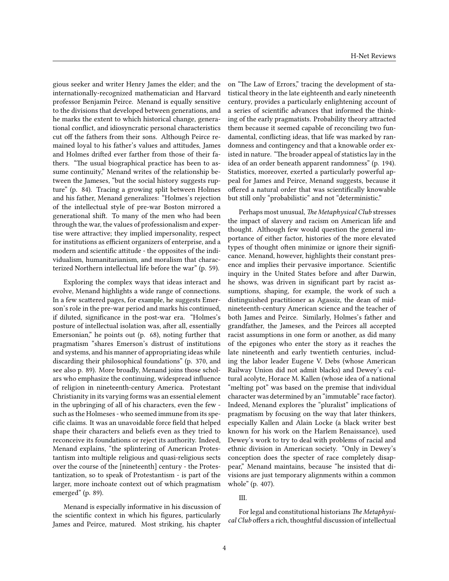gious seeker and writer Henry James the elder; and the internationally-recognized mathematician and Harvard professor Benjamin Peirce. Menand is equally sensitive to the divisions that developed between generations, and he marks the extent to which historical change, generational conflict, and idiosyncratic personal characteristics cut off the fathers from their sons. Although Peirce remained loyal to his father's values and attitudes, James and Holmes drifted ever farther from those of their fathers. "The usual biographical practice has been to assume continuity," Menand writes of the relationship between the Jameses, "but the social history suggests rupture" (p. 84). Tracing a growing split between Holmes and his father, Menand generalizes: "Holmes's rejection of the intellectual style of pre-war Boston mirrored a generational shift. To many of the men who had been through the war, the values of professionalism and expertise were attractive; they implied impersonality, respect for institutions as efficient organizers of enterprise, and a modern and scientific attitude - the opposites of the individualism, humanitarianism, and moralism that characterized Northern intellectual life before the war" (p. 59).

Exploring the complex ways that ideas interact and evolve, Menand highlights a wide range of connections. In a few scattered pages, for example, he suggests Emerson's role in the pre-war period and marks his continued, if diluted, significance in the post-war era. "Holmes's posture of intellectual isolation was, after all, essentially Emersonian," he points out (p. 68), noting further that pragmatism "shares Emerson's distrust of institutions and systems, and his manner of appropriating ideas while discarding their philosophical foundations" (p. 370, and see also p. 89). More broadly, Menand joins those scholars who emphasize the continuing, widespread influence of religion in nineteenth-century America. Protestant Christianity in its varying forms was an essential element in the upbringing of all of his characters, even the few such as the Holmeses - who seemed immune from its specific claims. It was an unavoidable force field that helped shape their characters and beliefs even as they tried to reconceive its foundations or reject its authority. Indeed, Menand explains, "the splintering of American Protestantism into multiple religious and quasi-religious sects over the course of the [nineteenth] century - the Protestantization, so to speak of Protestantism - is part of the larger, more inchoate context out of which pragmatism emerged" (p. 89).

Menand is especially informative in his discussion of the scientific context in which his figures, particularly James and Peirce, matured. Most striking, his chapter on "The Law of Errors," tracing the development of statistical theory in the late eighteenth and early nineteenth century, provides a particularly enlightening account of a series of scientific advances that informed the thinking of the early pragmatists. Probability theory attracted them because it seemed capable of reconciling two fundamental, conflicting ideas, that life was marked by randomness and contingency and that a knowable order existed in nature. "The broader appeal of statistics lay in the idea of an order beneath apparent randomness" (p. 194). Statistics, moreover, exerted a particularly powerful appeal for James and Peirce, Menand suggests, because it offered a natural order that was scientifically knowable but still only "probabilistic" and not "deterministic."

Perhaps most unusual, *The Metaphysical Club* stresses the impact of slavery and racism on American life and thought. Although few would question the general importance of either factor, histories of the more elevated types of thought often minimize or ignore their significance. Menand, however, highlights their constant presence and implies their pervasive importance. Scientific inquiry in the United States before and after Darwin, he shows, was driven in significant part by racist assumptions, shaping, for example, the work of such a distinguished practitioner as Agassiz, the dean of midnineteenth-century American science and the teacher of both James and Peirce. Similarly, Holmes's father and grandfather, the Jameses, and the Peirces all accepted racist assumptions in one form or another, as did many of the epigones who enter the story as it reaches the late nineteenth and early twentieth centuries, including the labor leader Eugene V. Debs (whose American Railway Union did not admit blacks) and Dewey's cultural acolyte, Horace M. Kallen (whose idea of a national "melting pot" was based on the premise that individual character was determined by an "immutable" race factor). Indeed, Menand explores the "pluralist" implications of pragmatism by focusing on the way that later thinkers, especially Kallen and Alain Locke (a black writer best known for his work on the Harlem Renaissance), used Dewey's work to try to deal with problems of racial and ethnic division in American society. "Only in Dewey's conception does the specter of race completely disappear," Menand maintains, because "he insisted that divisions are just temporary alignments within a common whole" (p. 407).

#### III.

For legal and constitutional historians *The Metaphysical Club* offers a rich, thoughtful discussion of intellectual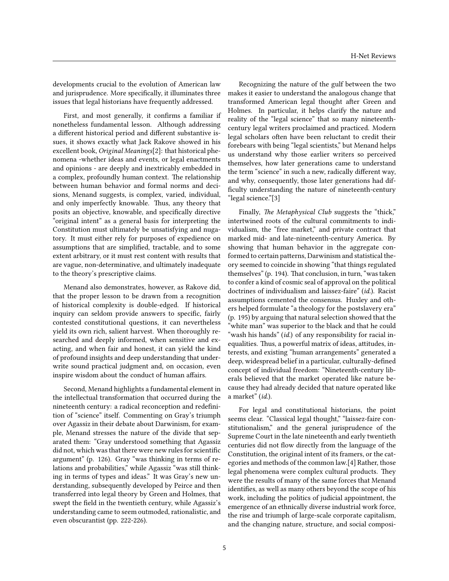developments crucial to the evolution of American law and jurisprudence. More specifically, it illuminates three issues that legal historians have frequently addressed.

First, and most generally, it confirms a familiar if nonetheless fundamental lesson. Although addressing a different historical period and different substantive issues, it shows exactly what Jack Rakove showed in his excellent book, *Original Meanings*[2]: that historical phenomena -whether ideas and events, or legal enactments and opinions - are deeply and inextricably embedded in a complex, profoundly human context. The relationship between human behavior and formal norms and decisions, Menand suggests, is complex, varied, individual, and only imperfectly knowable. Thus, any theory that posits an objective, knowable, and specifically directive "original intent" as a general basis for interpreting the Constitution must ultimately be unsatisfying and nugatory. It must either rely for purposes of expedience on assumptions that are simplified, tractable, and to some extent arbitrary, or it must rest content with results that are vague, non-determinative, and ultimately inadequate to the theory's prescriptive claims.

Menand also demonstrates, however, as Rakove did, that the proper lesson to be drawn from a recognition of historical complexity is double-edged. If historical inquiry can seldom provide answers to specific, fairly contested constitutional questions, it can nevertheless yield its own rich, salient harvest. When thoroughly researched and deeply informed, when sensitive and exacting, and when fair and honest, it can yield the kind of profound insights and deep understanding that underwrite sound practical judgment and, on occasion, even inspire wisdom about the conduct of human affairs.

Second, Menand highlights a fundamental element in the intellectual transformation that occurred during the nineteenth century: a radical reconception and redefinition of "science" itself. Commenting on Gray's triumph over Agassiz in their debate about Darwinism, for example, Menand stresses the nature of the divide that separated them: "Gray understood something that Agassiz did not, which was that there were new rules for scientific argument" (p. 126). Gray "was thinking in terms of relations and probabilities," while Agassiz "was still thinking in terms of types and ideas." It was Gray's new understanding, subsequently developed by Peirce and then transferred into legal theory by Green and Holmes, that swept the field in the twentieth century, while Agassiz's understanding came to seem outmoded, rationalistic, and even obscurantist (pp. 222-226).

Recognizing the nature of the gulf between the two makes it easier to understand the analogous change that transformed American legal thought after Green and Holmes. In particular, it helps clarify the nature and reality of the "legal science" that so many nineteenthcentury legal writers proclaimed and practiced. Modern legal scholars often have been reluctant to credit their forebears with being "legal scientists," but Menand helps us understand why those earlier writers so perceived themselves, how later generations came to understand the term "science" in such a new, radically different way, and why, consequently, those later generations had difficulty understanding the nature of nineteenth-century "legal science."[3]

Finally, *The Metaphysical Club* suggests the "thick," intertwined roots of the cultural commitments to individualism, the "free market," and private contract that marked mid- and late-nineteenth-century America. By showing that human behavior in the aggregate conformed to certain patterns, Darwinism and statistical theory seemed to coincide in showing "that things regulated themselves" (p. 194). That conclusion, in turn, "was taken to confer a kind of cosmic seal of approval on the political doctrines of individualism and laissez-faire" (*id.*). Racist assumptions cemented the consensus. Huxley and others helped formulate "a theology for the postslavery era" (p. 195) by arguing that natural selection showed that the "white man" was superior to the black and that he could "wash his hands" (*id.*) of any responsibility for racial inequalities. Thus, a powerful matrix of ideas, attitudes, interests, and existing "human arrangements" generated a deep, widespread belief in a particular, culturally-defined concept of individual freedom: "Nineteenth-century liberals believed that the market operated like nature because they had already decided that nature operated like a market" (*id.*).

For legal and constitutional historians, the point seems clear. "Classical legal thought," "laissez-faire constitutionalism," and the general jurisprudence of the Supreme Court in the late nineteenth and early twentieth centuries did not flow directly from the language of the Constitution, the original intent of its framers, or the categories and methods of the common law.[4] Rather, those legal phenomena were complex cultural products. They were the results of many of the same forces that Menand identifies, as well as many others beyond the scope of his work, including the politics of judicial appointment, the emergence of an ethnically diverse industrial work force, the rise and triumph of large-scale corporate capitalism, and the changing nature, structure, and social composi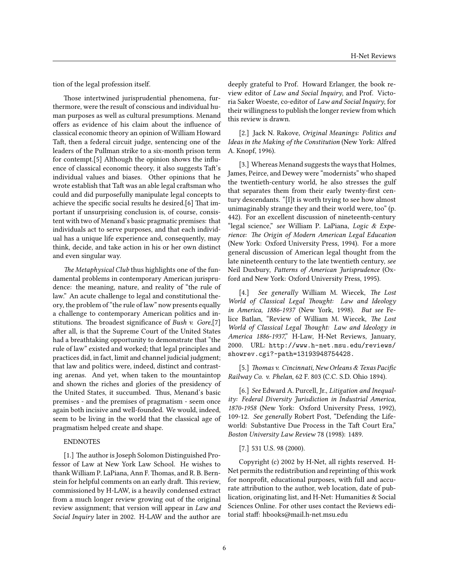tion of the legal profession itself.

Those intertwined jurisprudential phenomena, furthermore, were the result of conscious and individual human purposes as well as cultural presumptions. Menand offers as evidence of his claim about the influence of classical economic theory an opinion of William Howard Taft, then a federal circuit judge, sentencing one of the leaders of the Pullman strike to a six-month prison term for contempt.[5] Although the opinion shows the influence of classical economic theory, it also suggests Taft's individual values and biases. Other opinions that he wrote establish that Taft was an able legal craftsman who could and did purposefully manipulate legal concepts to achieve the specific social results he desired.[6] That important if unsurprising conclusion is, of course, consistent with two of Menand's basic pragmatic premises: that individuals act to serve purposes, and that each individual has a unique life experience and, consequently, may think, decide, and take action in his or her own distinct and even singular way.

*The Metaphysical Club* thus highlights one of the fundamental problems in contemporary American jurisprudence: the meaning, nature, and reality of "the rule of law." An acute challenge to legal and constitutional theory, the problem of "the rule of law" now presents equally a challenge to contemporary American politics and institutions. The broadest significance of *Bush v. Gore*,[7] after all, is that the Supreme Court of the United States had a breathtaking opportunity to demonstrate that "the rule of law" existed and worked; that legal principles and practices did, in fact, limit and channel judicial judgment; that law and politics were, indeed, distinct and contrasting arenas. And yet, when taken to the mountaintop and shown the riches and glories of the presidency of the United States, it succumbed. Thus, Menand's basic premises - and the premises of pragmatism - seem once again both incisive and well-founded. We would, indeed, seem to be living in the world that the classical age of pragmatism helped create and shape.

#### ENDNOTES

[1.] The author is Joseph Solomon Distinguished Professor of Law at New York Law School. He wishes to thank William P. LaPiana, Ann F. Thomas, and R. B. Bernstein for helpful comments on an early draft. This review, commissioned by H-LAW, is a heavily condensed extract from a much longer review growing out of the original review assignment; that version will appear in *Law and Social Inquiry* later in 2002. H-LAW and the author are

deeply grateful to Prof. Howard Erlanger, the book review editor of *Law and Social Inquiry*, and Prof. Victoria Saker Woeste, co-editor of *Law and Social Inquiry*, for their willingness to publish the longer review from which this review is drawn.

[2.] Jack N. Rakove, *Original Meanings: Politics and Ideas in the Making of the Constitution* (New York: Alfred A. Knopf, 1996).

[3.] Whereas Menand suggests the ways that Holmes, James, Peirce, and Dewey were "modernists" who shaped the twentieth-century world, he also stresses the gulf that separates them from their early twenty-first century descendants. "[I]t is worth trying to see how almost unimaginably strange they and their world were, too" (p. 442). For an excellent discussion of nineteenth-century "legal science," *see* William P. LaPiana, *Logic & Experience: The Origin of Modern American Legal Education* (New York: Oxford University Press, 1994). For a more general discussion of American legal thought from the late nineteenth century to the late twentieth century, *see* Neil Duxbury, *Patterns of American Jurisprudence* (Oxford and New York: Oxford University Press, 1995).

[4.] *See generally* William M. Wiecek, *The Lost World of Classical Legal Thought: Law and Ideology in America, 1886-1937* (New York, 1998). *But see* Felice Batlan, "Review of William M. Wiecek, *The Lost World of Classical Legal Thought: Law and Ideology in America 1886-1937*," H-Law, H-Net Reviews, January, 2000. URL: [http://www.h-net.msu.edu/reviews/](http://www.h-net.msu.edu/reviews/showrev.cgi?~path=13193948754428.) [showrev.cgi?~path=13193948754428.](http://www.h-net.msu.edu/reviews/showrev.cgi?~path=13193948754428.)

[5.] *Thomas v. Cincinnati, New Orleans & Texas Pacific Railway Co. v. Phelan*, 62 F. 803 (C.C. S.D. Ohio 1894).

[6.] *See* Edward A. Purcell, Jr., *Litigation and Inequality: Federal Diversity Jurisdiction in Industrial America, 1870-1958* (New York: Oxford University Press, 1992), 109-12. *See generally* Robert Post, "Defending the Lifeworld: Substantive Due Process in the Taft Court Era," *Boston University Law Review* 78 (1998): 1489.

#### [7.] 531 U.S. 98 (2000).

Copyright (c) 2002 by H-Net, all rights reserved. H-Net permits the redistribution and reprinting of this work for nonprofit, educational purposes, with full and accurate attribution to the author, web location, date of publication, originating list, and H-Net: Humanities & Social Sciences Online. For other uses contact the Reviews editorial staff: hbooks@mail.h-net.msu.edu